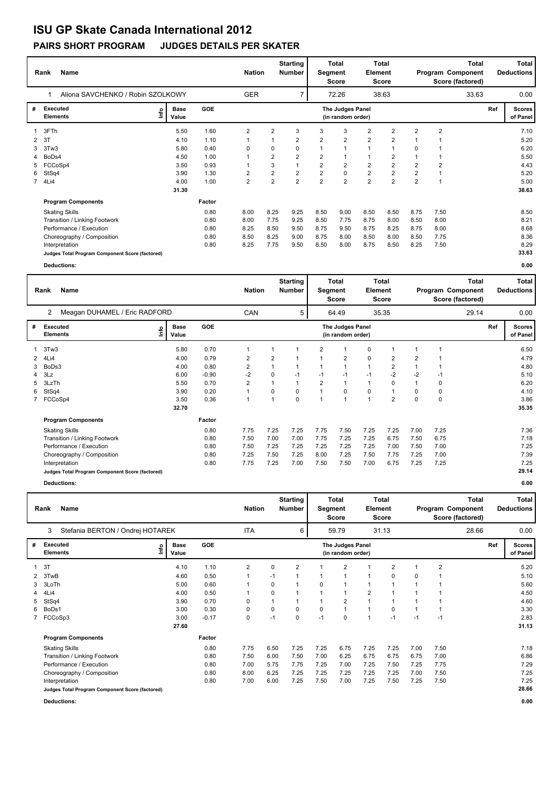# **ISU GP Skate Canada International 2012**

### **PAIRS SHORT PROGRAM JUDGES DETAILS PER SKATER**

|                                         | Name<br>Rank                                    | <b>Nation</b>                |            | <b>Starting</b><br><b>Number</b> | Segment        | <b>Total</b><br>Score | <b>Total</b><br><b>Element</b><br>Score |                                       | <b>Total</b><br>Program Component<br>Score (factored) |                |                | <b>Total</b><br><b>Deductions</b> |       |     |                           |
|-----------------------------------------|-------------------------------------------------|------------------------------|------------|----------------------------------|----------------|-----------------------|-----------------------------------------|---------------------------------------|-------------------------------------------------------|----------------|----------------|-----------------------------------|-------|-----|---------------------------|
|                                         | Aliona SAVCHENKO / Robin SZOLKOWY               |                              |            | <b>GER</b>                       |                | 7                     |                                         | 72.26                                 |                                                       | 38.63          |                |                                   | 33.63 |     | 0.00                      |
| #<br><b>Executed</b><br><b>Elements</b> |                                                 | <b>Base</b><br>١nf٥<br>Value | <b>GOE</b> |                                  |                |                       |                                         | The Judges Panel<br>(in random order) |                                                       |                |                |                                   |       | Ref | <b>Scores</b><br>of Panel |
|                                         | 3FTh                                            | 5.50                         | 1.60       | $\overline{2}$                   | 2              | 3                     | 3                                       | 3                                     | $\overline{2}$                                        | $\overline{2}$ | $\overline{2}$ | $\overline{2}$                    |       |     | 7.10                      |
|                                         | 3T                                              | 4.10                         | 1.10       |                                  |                | 2                     | $\overline{2}$                          | $\overline{2}$                        | $\overline{2}$                                        | 2              |                |                                   |       |     | 5.20                      |
| 3                                       | 3Tw3                                            | 5.80                         | 0.40       | 0                                | 0              | 0                     | 1                                       |                                       | 1                                                     | 1              | 0              |                                   |       |     | 6.20                      |
|                                         | BoDs4                                           | 4.50                         | 1.00       |                                  | $\overline{2}$ | $\overline{2}$        | $\overline{2}$                          |                                       | 1                                                     | 2              |                | 1                                 |       |     | 5.50                      |
| 5                                       | FCCoSp4                                         | 3.50                         | 0.93       |                                  | 3              | 1                     | $\overline{2}$                          | $\overline{2}$                        | 2                                                     | 2              | $\overline{2}$ | $\overline{2}$                    |       |     | 4.43                      |
| 6.                                      | StSq4                                           | 3.90                         | 1.30       | 2                                | $\overline{2}$ | $\overline{2}$        | $\overline{2}$                          | $\Omega$                              | $\overline{2}$                                        | $\overline{2}$ | $\overline{2}$ | 1                                 |       |     | 5.20                      |
|                                         | 7 4Li4                                          | 4.00                         | 1.00       | $\overline{2}$                   | $\overline{2}$ | $\overline{2}$        | $\overline{2}$                          | $\overline{2}$                        | $\overline{2}$                                        | $\overline{2}$ | $\overline{2}$ | 1                                 |       |     | 5.00                      |
|                                         |                                                 | 31.30                        |            |                                  |                |                       |                                         |                                       |                                                       |                |                |                                   |       |     | 38.63                     |
|                                         | <b>Program Components</b>                       |                              | Factor     |                                  |                |                       |                                         |                                       |                                                       |                |                |                                   |       |     |                           |
|                                         | <b>Skating Skills</b>                           |                              | 0.80       | 8.00                             | 8.25           | 9.25                  | 8.50                                    | 9.00                                  | 8.50                                                  | 8.50           | 8.75           | 7.50                              |       |     | 8.50                      |
|                                         | Transition / Linking Footwork                   |                              | 0.80       | 8.00                             | 7.75           | 9.25                  | 8.50                                    | 7.75                                  | 8.75                                                  | 8.00           | 8.50           | 8.00                              |       |     | 8.21                      |
|                                         | Performance / Execution                         |                              | 0.80       | 8.25                             | 8.50           | 9.50                  | 8.75                                    | 9.50                                  | 8.75                                                  | 8.25           | 8.75           | 8.00                              |       |     | 8.68                      |
|                                         | Choreography / Composition                      |                              | 0.80       | 8.50                             | 8.25           | 9.00                  | 8.75                                    | 8.00                                  | 8.50                                                  | 8.00           | 8.50           | 7.75                              |       |     | 8.36                      |
|                                         | Interpretation                                  |                              | 0.80       | 8.25                             | 7.75           | 9.50                  | 8.50                                    | 8.00                                  | 8.75                                                  | 8.50           | 8.25           | 7.50                              |       |     | 8.29                      |
|                                         | Judges Total Program Component Score (factored) |                              |            |                                  |                |                       |                                         |                                       |                                                       |                |                |                                   |       |     | 33.63                     |
|                                         | Deductions:                                     |                              |            |                                  |                |                       |                                         |                                       |                                                       |                |                |                                   |       |     | 0.00                      |

|   | <b>Name</b><br>Rank                             | <b>Nation</b>        |            | <b>Starting</b><br>Number | Segment  | <b>Total</b><br>Score | Total<br>Element<br><b>Score</b> |                                       |                |                | <b>Total</b><br>Program Component<br>Score (factored) | Total<br><b>Deductions</b> |       |     |                           |
|---|-------------------------------------------------|----------------------|------------|---------------------------|----------|-----------------------|----------------------------------|---------------------------------------|----------------|----------------|-------------------------------------------------------|----------------------------|-------|-----|---------------------------|
|   | 2<br>Meagan DUHAMEL / Eric RADFORD              |                      |            | CAN                       |          | 5                     |                                  | 64.49                                 |                | 35.35          |                                                       |                            | 29.14 |     | 0.00                      |
| # | <b>Executed</b><br>۴۵<br><b>Elements</b>        | <b>Base</b><br>Value | <b>GOE</b> |                           |          |                       |                                  | The Judges Panel<br>(in random order) |                |                |                                                       |                            |       | Ref | <b>Scores</b><br>of Panel |
|   | 3Tw3                                            | 5.80                 | 0.70       | 1                         |          |                       | 2                                |                                       | 0              |                |                                                       | 1                          |       |     | 6.50                      |
|   | 2 4Li4                                          | 4.00                 | 0.79       | $\overline{2}$            | 2        |                       |                                  | 2                                     | $\pmb{0}$      | $\overline{2}$ | $\overline{2}$                                        |                            |       |     | 4.79                      |
| 3 | BoDs3                                           | 4.00                 | 0.80       | $\overline{2}$            |          |                       |                                  | $\overline{1}$                        | $\overline{1}$ | $\overline{2}$ |                                                       |                            |       |     | 4.80                      |
| 4 | 3Lz                                             | 6.00                 | $-0.90$    | $-2$                      | $\Omega$ | $-1$                  | $-1$                             | $-1$                                  | $-1$           | $-2$           | $-2$                                                  | $-1$                       |       |     | 5.10                      |
| 5 | 3LzTh                                           | 5.50                 | 0.70       | $\overline{2}$            |          |                       | 2                                | 1                                     | $\mathbf{1}$   | $\Omega$       |                                                       | 0                          |       |     | 6.20                      |
| 6 | StSq4                                           | 3.90                 | 0.20       | 1                         | $\Omega$ | 0                     |                                  | 0                                     | $\pmb{0}$      | -1             | $\Omega$                                              | 0                          |       |     | 4.10                      |
| 7 | FCCoSp4                                         | 3.50                 | 0.36       | 1                         |          | 0                     |                                  | $\overline{1}$                        | 1              | $\overline{2}$ | $\mathbf 0$                                           | 0                          |       |     | 3.86                      |
|   |                                                 | 32.70                |            |                           |          |                       |                                  |                                       |                |                |                                                       |                            |       |     | 35.35                     |
|   | <b>Program Components</b>                       |                      | Factor     |                           |          |                       |                                  |                                       |                |                |                                                       |                            |       |     |                           |
|   | <b>Skating Skills</b>                           |                      | 0.80       | 7.75                      | 7.25     | 7.25                  | 7.75                             | 7.50                                  | 7.25           | 7.25           | 7.00                                                  | 7.25                       |       |     | 7.36                      |
|   | Transition / Linking Footwork                   |                      | 0.80       | 7.50                      | 7.00     | 7.00                  | 7.75                             | 7.25                                  | 7.25           | 6.75           | 7.50                                                  | 6.75                       |       |     | 7.18                      |
|   | Performance / Execution                         |                      | 0.80       | 7.50                      | 7.25     | 7.25                  | 7.25                             | 7.25                                  | 7.25           | 7.00           | 7.50                                                  | 7.00                       |       |     | 7.25                      |
|   | Choreography / Composition                      |                      | 0.80       | 7.25                      | 7.50     | 7.25                  | 8.00                             | 7.25                                  | 7.50           | 7.75           | 7.25                                                  | 7.00                       |       |     | 7.39                      |
|   | Interpretation                                  |                      | 0.80       | 7.75                      | 7.25     | 7.00                  | 7.50                             | 7.50                                  | 7.00           | 6.75           | 7.25                                                  | 7.25                       |       |     | 7.25                      |
|   | Judges Total Program Component Score (factored) |                      |            |                           |          |                       |                                  |                                       |                |                |                                                       |                            |       |     | 29.14                     |
|   | Deductions:                                     |                      |            |                           |          |                       |                                  |                                       |                |                |                                                       |                            |       |     | 0.00                      |

|   | Name<br>Rank                                    | <b>Nation</b>                |       | Total<br><b>Starting</b><br>Number<br>Segment<br>Score |                |      | Element | Total<br>Score | <b>Total</b><br>Program Component<br>Score (factored) |                |                | Total<br><b>Deductions</b> |                         |       |     |                           |
|---|-------------------------------------------------|------------------------------|-------|--------------------------------------------------------|----------------|------|---------|----------------|-------------------------------------------------------|----------------|----------------|----------------------------|-------------------------|-------|-----|---------------------------|
|   | Stefania BERTON / Ondrej HOTAREK<br>3           |                              |       |                                                        | <b>ITA</b>     |      | 6       |                | 59.79                                                 |                | 31.13          |                            |                         | 28.66 |     | 0.00                      |
| # | <b>Executed</b><br><b>Elements</b>              | <b>Base</b><br>lnfo<br>Value |       | <b>GOE</b>                                             |                |      |         |                | The Judges Panel<br>(in random order)                 |                |                |                            |                         |       | Ref | <b>Scores</b><br>of Panel |
|   | 3T                                              |                              | 4.10  | 1.10                                                   | $\overline{2}$ | 0    | 2       |                | 2                                                     |                | $\overline{2}$ |                            | $\overline{2}$          |       |     | 5.20                      |
| 2 | 3TwB                                            |                              | 4.60  | 0.50                                                   |                | $-1$ | 1       |                | 1                                                     | $\mathbf{1}$   | 0              | 0                          |                         |       |     | 5.10                      |
| 3 | 3LoTh                                           |                              | 5.00  | 0.60                                                   |                | 0    |         | 0              | 1                                                     | 1              |                |                            |                         |       |     | 5.60                      |
| 4 | 4Li4                                            |                              | 4.00  | 0.50                                                   |                | 0    |         |                | 1                                                     | $\overline{2}$ |                |                            |                         |       |     | 4.50                      |
| 5 | StSq4                                           |                              | 3.90  | 0.70                                                   | 0              |      |         |                | $\overline{2}$                                        | $\mathbf{1}$   |                |                            | $\overline{\mathbf{1}}$ |       |     | 4.60                      |
| 6 | BoDs1                                           |                              | 3.00  | 0.30                                                   | 0              | 0    | 0       | 0              | 1                                                     | $\mathbf{1}$   | 0              |                            | $\overline{1}$          |       |     | 3.30                      |
|   | FCCoSp3                                         |                              | 3.00  | $-0.17$                                                | 0              | $-1$ | 0       | $-1$           | 0                                                     | $\mathbf{1}$   | $-1$           | $-1$                       | $-1$                    |       |     | 2.83                      |
|   |                                                 |                              | 27.60 |                                                        |                |      |         |                |                                                       |                |                |                            |                         |       |     | 31.13                     |
|   | <b>Program Components</b>                       |                              |       | Factor                                                 |                |      |         |                |                                                       |                |                |                            |                         |       |     |                           |
|   | <b>Skating Skills</b>                           |                              |       | 0.80                                                   | 7.75           | 6.50 | 7.25    | 7.25           | 6.75                                                  | 7.25           | 7.25           | 7.00                       | 7.50                    |       |     | 7.18                      |
|   | Transition / Linking Footwork                   |                              |       | 0.80                                                   | 7.50           | 6.00 | 7.50    | 7.00           | 6.25                                                  | 6.75           | 6.75           | 6.75                       | 7.00                    |       |     | 6.86                      |
|   | Performance / Execution                         |                              |       | 0.80                                                   | 7.00           | 5.75 | 7.75    | 7.25           | 7.00                                                  | 7.25           | 7.50           | 7.25                       | 7.75                    |       |     | 7.29                      |
|   | Choreography / Composition                      |                              |       | 0.80                                                   | 8.00           | 6.25 | 7.25    | 7.25           | 7.25                                                  | 7.25           | 7.25           | 7.00                       | 7.50                    |       |     | 7.25                      |
|   | Interpretation                                  |                              |       | 0.80                                                   | 7.00           | 6.00 | 7.25    | 7.50           | 7.00                                                  | 7.25           | 7.50           | 7.25                       | 7.50                    |       |     | 7.25                      |
|   | Judges Total Program Component Score (factored) |                              |       |                                                        |                |      |         |                |                                                       |                |                |                            |                         |       |     | 28.66                     |

**Deductions: 0.00**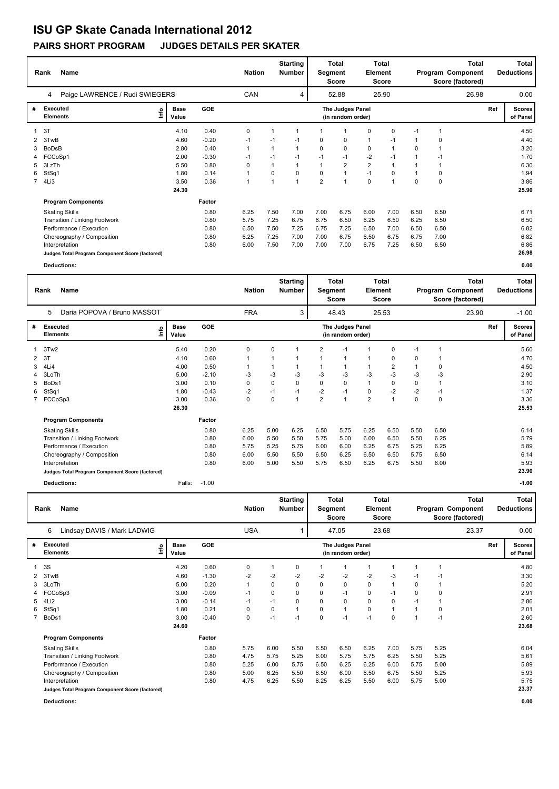# **ISU GP Skate Canada International 2012**

### **PAIRS SHORT PROGRAM JUDGES DETAILS PER SKATER**

|                                         | Name<br>Rank                                    | <b>Nation</b>                |            | <b>Starting</b><br><b>Number</b>      | Segment | <b>Total</b><br>Score | <b>Total</b><br><b>Element</b><br>Score |                | <b>Total</b><br>Program Component<br>Score (factored) |          |      | Total<br><b>Deductions</b> |       |  |       |
|-----------------------------------------|-------------------------------------------------|------------------------------|------------|---------------------------------------|---------|-----------------------|-----------------------------------------|----------------|-------------------------------------------------------|----------|------|----------------------------|-------|--|-------|
|                                         | Paige LAWRENCE / Rudi SWIEGERS<br>4             |                              |            | <b>CAN</b>                            |         | 4                     |                                         | 52.88          |                                                       | 25.90    |      |                            | 26.98 |  | 0.00  |
| <b>Executed</b><br>#<br><b>Elements</b> |                                                 | <b>Base</b><br>١nf٥<br>Value | <b>GOE</b> | The Judges Panel<br>(in random order) |         |                       |                                         |                |                                                       |          |      |                            |       |  |       |
| 1                                       | 3T                                              | 4.10                         | 0.40       | 0                                     |         | $\mathbf 1$           | -1                                      |                | $\mathbf 0$                                           | 0        | -1   | 1                          |       |  | 4.50  |
|                                         | 3TwB                                            | 4.60                         | $-0.20$    | $-1$                                  | $-1$    | $-1$                  | 0                                       | $\mathbf 0$    | 1                                                     | $-1$     |      | 0                          |       |  | 4.40  |
| 3                                       | <b>BoDsB</b>                                    | 2.80                         | 0.40       | 1                                     | 1       | $\mathbf 1$           | 0                                       | 0              | 0                                                     | 1        | 0    | 1                          |       |  | 3.20  |
| 4                                       | FCCoSp1                                         | 2.00                         | $-0.30$    | $-1$                                  | $-1$    | $-1$                  | $-1$                                    | $-1$           | $-2$                                                  | $-1$     |      | $-1$                       |       |  | 1.70  |
| 5.                                      | 3LzTh                                           | 5.50                         | 0.80       | 0                                     | 1       | $\mathbf 1$           | $\mathbf{1}$                            | 2              | $\overline{2}$                                        | 1        |      |                            |       |  | 6.30  |
| 6                                       | StSq1                                           | 1.80                         | 0.14       | 1                                     | 0       | $\Omega$              | $\Omega$                                | $\overline{1}$ | $-1$                                                  | $\Omega$ |      | 0                          |       |  | 1.94  |
|                                         | 7 4Li3                                          | 3.50                         | 0.36       | 1                                     | 1       | $\overline{1}$        | $\overline{2}$                          |                | $\mathbf 0$                                           | 1        | 0    | 0                          |       |  | 3.86  |
|                                         |                                                 | 24.30                        |            |                                       |         |                       |                                         |                |                                                       |          |      |                            |       |  | 25.90 |
|                                         | <b>Program Components</b>                       |                              | Factor     |                                       |         |                       |                                         |                |                                                       |          |      |                            |       |  |       |
|                                         | <b>Skating Skills</b>                           |                              | 0.80       | 6.25                                  | 7.50    | 7.00                  | 7.00                                    | 6.75           | 6.00                                                  | 7.00     | 6.50 | 6.50                       |       |  | 6.71  |
|                                         | Transition / Linking Footwork                   |                              | 0.80       | 5.75                                  | 7.25    | 6.75                  | 6.75                                    | 6.50           | 6.25                                                  | 6.50     | 6.25 | 6.50                       |       |  | 6.50  |
|                                         | Performance / Execution                         |                              | 0.80       | 6.50                                  | 7.50    | 7.25                  | 6.75                                    | 7.25           | 6.50                                                  | 7.00     | 6.50 | 6.50                       |       |  | 6.82  |
|                                         | Choreography / Composition                      |                              | 0.80       | 6.25                                  | 7.25    | 7.00                  | 7.00                                    | 6.75           | 6.50                                                  | 6.75     | 6.75 | 7.00                       |       |  | 6.82  |
|                                         | Interpretation                                  |                              | 0.80       | 6.00                                  | 7.50    | 7.00                  | 7.00                                    | 7.00           | 6.75                                                  | 7.25     | 6.50 | 6.50                       |       |  | 6.86  |
|                                         | Judges Total Program Component Score (factored) |                              |            |                                       |         |                       |                                         |                |                                                       |          |      |                            |       |  | 26.98 |
|                                         | Deductions:                                     |                              |            |                                       |         |                       |                                         |                |                                                       |          |      |                            |       |  | 0.00  |

|   | <b>Name</b><br>Rank                             |                              |        |         |             |      |                         | <b>Nation</b>  |                                       | <b>Starting</b><br><b>Number</b> | Segment                 | Total<br><b>Score</b> | Element  | <b>Total</b><br>Score | Total<br>Program Component<br>Score (factored) |                           |  | <b>Total</b><br><b>Deductions</b> |  |
|---|-------------------------------------------------|------------------------------|--------|---------|-------------|------|-------------------------|----------------|---------------------------------------|----------------------------------|-------------------------|-----------------------|----------|-----------------------|------------------------------------------------|---------------------------|--|-----------------------------------|--|
|   | Daria POPOVA / Bruno MASSOT<br>5                |                              |        |         | <b>FRA</b>  |      | 3                       |                | 48.43                                 |                                  | 25.53                   |                       |          | 23.90                 |                                                | $-1.00$                   |  |                                   |  |
| # | <b>Executed</b><br><b>Elements</b>              | <b>Base</b><br>lnfo<br>Value |        | GOE     |             |      |                         |                | The Judges Panel<br>(in random order) |                                  |                         |                       |          |                       | Ref                                            | <b>Scores</b><br>of Panel |  |                                   |  |
|   | 3Tw2                                            |                              | 5.40   | 0.20    | 0           | 0    | $\overline{\mathbf{1}}$ | $\overline{2}$ | $-1$                                  |                                  | $\Omega$                | $-1$                  |          |                       |                                                | 5.60                      |  |                                   |  |
| 2 | 3T                                              |                              | 4.10   | 0.60    |             |      |                         |                | 1                                     | 1                                | 0                       | 0                     |          |                       |                                                | 4.70                      |  |                                   |  |
| 3 | 4Li4                                            |                              | 4.00   | 0.50    |             |      | 1                       |                | 1                                     | $\mathbf{1}$                     | $\overline{2}$          |                       | 0        |                       |                                                | 4.50                      |  |                                   |  |
| 4 | 3LoTh                                           |                              | 5.00   | $-2.10$ | -3          | -3   | -3                      | -3             | -3                                    | -3                               | $-3$                    | -3                    | -3       |                       |                                                | 2.90                      |  |                                   |  |
| 5 | BoDs1                                           |                              | 3.00   | 0.10    | 0           | 0    | $\Omega$                | 0              | 0                                     | $\mathbf{1}$                     | $\Omega$                | 0                     |          |                       |                                                | 3.10                      |  |                                   |  |
| 6 | StSq1                                           |                              | 1.80   | $-0.43$ | $-2$        | $-1$ | $-1$                    | $-2$           | $-1$                                  | 0                                | $-2$                    | -2                    | $-1$     |                       |                                                | 1.37                      |  |                                   |  |
|   | 7 FCCoSp3                                       |                              | 3.00   | 0.36    | $\mathbf 0$ | 0    | $\overline{1}$          | $\overline{2}$ | $\overline{1}$                        | $\overline{2}$                   | $\overline{\mathbf{A}}$ | $\Omega$              | $\Omega$ |                       |                                                | 3.36                      |  |                                   |  |
|   |                                                 |                              | 26.30  |         |             |      |                         |                |                                       |                                  |                         |                       |          |                       |                                                | 25.53                     |  |                                   |  |
|   | <b>Program Components</b>                       |                              |        | Factor  |             |      |                         |                |                                       |                                  |                         |                       |          |                       |                                                |                           |  |                                   |  |
|   | <b>Skating Skills</b>                           |                              |        | 0.80    | 6.25        | 5.00 | 6.25                    | 6.50           | 5.75                                  | 6.25                             | 6.50                    | 5.50                  | 6.50     |                       |                                                | 6.14                      |  |                                   |  |
|   | Transition / Linking Footwork                   |                              |        | 0.80    | 6.00        | 5.50 | 5.50                    | 5.75           | 5.00                                  | 6.00                             | 6.50                    | 5.50                  | 6.25     |                       |                                                | 5.79                      |  |                                   |  |
|   | Performance / Execution                         |                              |        | 0.80    | 5.75        | 5.25 | 5.75                    | 6.00           | 6.00                                  | 6.25                             | 6.75                    | 5.25                  | 6.25     |                       |                                                | 5.89                      |  |                                   |  |
|   | Choreography / Composition                      |                              |        | 0.80    | 6.00        | 5.50 | 5.50                    | 6.50           | 6.25                                  | 6.50                             | 6.50                    | 5.75                  | 6.50     |                       |                                                | 6.14                      |  |                                   |  |
|   | Interpretation                                  |                              |        | 0.80    | 6.00        | 5.00 | 5.50                    | 5.75           | 6.50                                  | 6.25                             | 6.75                    | 5.50                  | 6.00     |                       |                                                | 5.93                      |  |                                   |  |
|   | Judges Total Program Component Score (factored) |                              |        |         |             |      |                         |                |                                       |                                  |                         |                       |          |                       |                                                | 23.90                     |  |                                   |  |
|   | <b>Deductions:</b>                              |                              | Falls: | $-1.00$ |             |      |                         |                |                                       |                                  |                         |                       |          |                       |                                                | $-1.00$                   |  |                                   |  |

|   | <b>Name</b><br>Rank                             |      |                      |         |              | <b>Nation</b> | <b>Starting</b><br><b>Number</b> | Segment | Total<br><b>Score</b>                 | <b>Total</b><br>Element<br>Score |             | <b>Total</b><br>Program Component<br>Score (factored) |             |       | <b>Total</b><br><b>Deductions</b> |                      |
|---|-------------------------------------------------|------|----------------------|---------|--------------|---------------|----------------------------------|---------|---------------------------------------|----------------------------------|-------------|-------------------------------------------------------|-------------|-------|-----------------------------------|----------------------|
|   | Lindsay DAVIS / Mark LADWIG<br>6                |      |                      |         | <b>USA</b>   |               |                                  |         | 47.05                                 |                                  | 23.68       |                                                       |             | 23.37 |                                   | 0.00                 |
| # | Executed<br><b>Elements</b>                     | lnfo | <b>Base</b><br>Value | GOE     |              |               |                                  |         | The Judges Panel<br>(in random order) |                                  |             |                                                       |             |       | Ref                               | Scores  <br>of Panel |
|   | 3S                                              |      | 4.20                 | 0.60    | 0            |               | 0                                |         | 1                                     | 1                                |             | 1                                                     |             |       |                                   | 4.80                 |
| 2 | 3TwB                                            |      | 4.60                 | $-1.30$ | $-2$         | -2            | $-2$                             | $-2$    | $-2$                                  | $-2$                             | $-3$        | -1                                                    | $-1$        |       |                                   | 3.30                 |
| 3 | 3LoTh                                           |      | 5.00                 | 0.20    | $\mathbf{1}$ | 0             | 0                                | 0       | 0                                     | 0                                |             | 0                                                     |             |       |                                   | 5.20                 |
| 4 | FCCoSp3                                         |      | 3.00                 | $-0.09$ | $-1$         | 0             | 0                                | 0       | $-1$                                  | 0                                | $-1$        | 0                                                     | $\mathbf 0$ |       |                                   | 2.91                 |
| 5 | 4Li2                                            |      | 3.00                 | $-0.14$ | $-1$         | $-1$          | 0                                | 0       | 0                                     | 0                                | 0           | $-1$                                                  |             |       |                                   | 2.86                 |
| 6 | StSq1                                           |      | 1.80                 | 0.21    | 0            | 0             |                                  | 0       | 1                                     | 0                                |             |                                                       | $\mathbf 0$ |       |                                   | 2.01                 |
|   | BoDs1                                           |      | 3.00                 | $-0.40$ | 0            | $-1$          | $-1$                             | 0       | $-1$                                  | $-1$                             | $\mathbf 0$ |                                                       | $-1$        |       |                                   | 2.60                 |
|   |                                                 |      | 24.60                |         |              |               |                                  |         |                                       |                                  |             |                                                       |             |       |                                   | 23.68                |
|   | <b>Program Components</b>                       |      |                      | Factor  |              |               |                                  |         |                                       |                                  |             |                                                       |             |       |                                   |                      |
|   | <b>Skating Skills</b>                           |      |                      | 0.80    | 5.75         | 6.00          | 5.50                             | 6.50    | 6.50                                  | 6.25                             | 7.00        | 5.75                                                  | 5.25        |       |                                   | 6.04                 |
|   | Transition / Linking Footwork                   |      |                      | 0.80    | 4.75         | 5.75          | 5.25                             | 6.00    | 5.75                                  | 5.75                             | 6.25        | 5.50                                                  | 5.25        |       |                                   | 5.61                 |
|   | Performance / Execution                         |      |                      | 0.80    | 5.25         | 6.00          | 5.75                             | 6.50    | 6.25                                  | 6.25                             | 6.00        | 5.75                                                  | 5.00        |       |                                   | 5.89                 |
|   | Choreography / Composition                      |      |                      | 0.80    | 5.00         | 6.25          | 5.50                             | 6.50    | 6.00                                  | 6.50                             | 6.75        | 5.50                                                  | 5.25        |       |                                   | 5.93                 |
|   | Interpretation                                  |      |                      | 0.80    | 4.75         | 6.25          | 5.50                             | 6.25    | 6.25                                  | 5.50                             | 6.00        | 5.75                                                  | 5.00        |       |                                   | 5.75                 |
|   | Judges Total Program Component Score (factored) |      |                      |         |              |               |                                  |         |                                       |                                  |             |                                                       |             |       |                                   | 23.37                |

**Deductions: 0.00**